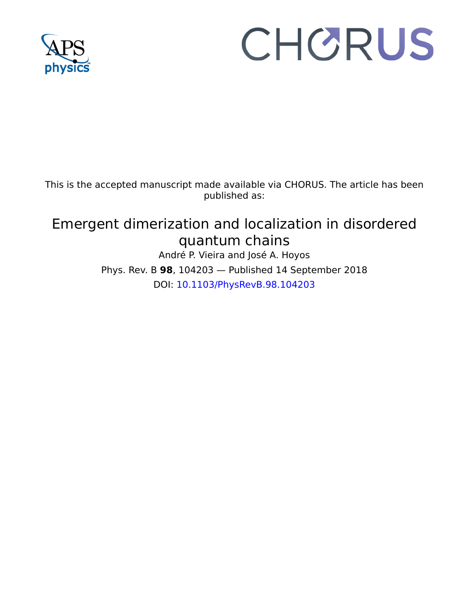

# CHORUS

This is the accepted manuscript made available via CHORUS. The article has been published as:

# Emergent dimerization and localization in disordered quantum chains

André P. Vieira and José A. Hoyos Phys. Rev. B **98**, 104203 — Published 14 September 2018 DOI: [10.1103/PhysRevB.98.104203](http://dx.doi.org/10.1103/PhysRevB.98.104203)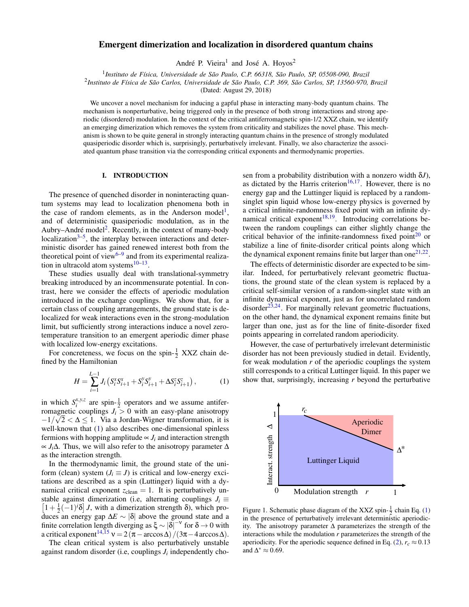# Emergent dimerization and localization in disordered quantum chains

André P. Vieira<sup>1</sup> and José A. Hoyos<sup>2</sup>

1 *Instituto de Física, Universidade de São Paulo, C.P. 66318, São Paulo, SP, 05508-090, Brazil*

2 *Instituto de Física de São Carlos, Universidade de São Paulo, C.P. 369, São Carlos, SP, 13560-970, Brazil*

(Dated: August 29, 2018)

We uncover a novel mechanism for inducing a gapful phase in interacting many-body quantum chains. The mechanism is nonperturbative, being triggered only in the presence of both strong interactions and strong aperiodic (disordered) modulation. In the context of the critical antiferromagnetic spin-1/2 XXZ chain, we identify an emerging dimerization which removes the system from criticality and stabilizes the novel phase. This mechanism is shown to be quite general in strongly interacting quantum chains in the presence of strongly modulated quasiperiodic disorder which is, surprisingly, perturbatively irrelevant. Finally, we also characterize the associated quantum phase transition via the corresponding critical exponents and thermodynamic properties.

# I. INTRODUCTION

The presence of quenched disorder in noninteracting quantum systems may lead to localization phenomena both in the case of random elements, as in the Anderson model<sup>[1](#page-10-0)</sup>, and of deterministic quasiperiodic modulation, as in the Aubry–André model<sup>[2](#page-10-1)</sup>. Recently, in the context of many-body localization $3-5$  $3-5$ , the interplay between interactions and deterministic disorder has gained renewed interest both from the theoretical point of view<sup>6-[9](#page-11-2)</sup> and from its experimental realization in ultracold atom systems $10-13$  $10-13$ .

These studies usually deal with translational-symmetry breaking introduced by an incommensurate potential. In contrast, here we consider the effects of aperiodic modulation introduced in the exchange couplings. We show that, for a certain class of coupling arrangements, the ground state is delocalized for weak interactions even in the strong-modulation limit, but sufficiently strong interactions induce a novel zerotemperature transition to an emergent aperiodic dimer phase with localized low-energy excitations.

For concreteness, we focus on the spin- $\frac{1}{2}$  XXZ chain defined by the Hamiltonian

<span id="page-1-0"></span>
$$
H = \sum_{i=1}^{L-1} J_i \left( S_i^x S_{i+1}^x + S_i^y S_{i+1}^y + \Delta S_i^z S_{i+1}^z \right), \tag{1}
$$

in which  $S_i^{x,y,z}$  are spin- $\frac{1}{2}$  operators and we assume antiferromagnetic couplings  $J_i > 0$  with an easy-plane anisotropy  $-1/\sqrt{2} < \Delta \leq 1$ . Via a Jordan-Wigner transformation, it is well-known that [\(1\)](#page-1-0) also describes one-dimensional spinless fermions with hopping amplitude  $\propto J_i$  and interaction strength ∝ *Ji*∆. Thus, we will also refer to the anisotropy parameter ∆ as the interaction strength.

In the thermodynamic limit, the ground state of the uniform (clean) system ( $J_i \equiv J$ ) is critical and low-energy excitations are described as a spin (Luttinger) liquid with a dynamical critical exponent  $z_{clean} = 1$ . It is perturbatively unstable against dimerization (i.e, alternating couplings  $J_i \equiv$  $\left[1+\frac{1}{2}(-1)^{i}\delta\right]J$ , with a dimerization strength  $\delta$ ), which produces an energy gap ∆*E* ∼ |δ| above the ground state and a finite correlation length diverging as  $\xi \sim |\delta|^{-\nu}$  for  $\delta \to 0$  with a critical exponent<sup>[14,](#page-11-5)[15](#page-11-6)</sup>  $v = 2(\pi - \arccos\Delta)/(3\pi - 4\arccos\Delta)$ .

The clean critical system is also perturbatively unstable against random disorder (i.e., couplings  $J_i$  independently chosen from a probability distribution with a nonzero width δ*J*), as dictated by the Harris criterion<sup>[16,](#page-11-7)[17](#page-11-8)</sup>. However, there is no energy gap and the Luttinger liquid is replaced by a randomsinglet spin liquid whose low-energy physics is governed by a critical infinite-randomness fixed point with an infinite dy-namical critical exponent<sup>[18,](#page-11-9)[19](#page-11-10)</sup>. Introducing correlations between the random couplings can either slightly change the critical behavior of the infinite-randomness fixed point $20$  or stabilize a line of finite-disorder critical points along which the dynamical exponent remains finite but larger than one $2^{1,22}$  $2^{1,22}$  $2^{1,22}$ .

The effects of deterministic disorder are expected to be similar. Indeed, for perturbatively relevant geometric fluctuations, the ground state of the clean system is replaced by a critical self-similar version of a random-singlet state with an infinite dynamical exponent, just as for uncorrelated random disorder<sup>[23,](#page-11-14)[24](#page-11-15)</sup>. For marginally relevant geometric fluctuations, on the other hand, the dynamical exponent remains finite but larger than one, just as for the line of finite-disorder fixed points appearing in correlated random aperiodicity.

However, the case of perturbatively irrelevant deterministic disorder has not been previously studied in detail. Evidently, for weak modulation  $r$  of the aperiodic couplings the system still corresponds to a critical Luttinger liquid. In this paper we show that, surprisingly, increasing *r* beyond the perturbative



<span id="page-1-1"></span>Figure 1. Schematic phase diagram of the XXZ spin- $\frac{1}{2}$  chain Eq. [\(1\)](#page-1-0) in the presence of perturbatively irrelevant deterministic aperiodicity. The anisotropy parameter ∆ parameterizes the strength of the interactions while the modulation *r* parameterizes the strength of the aperiodicity. For the aperiodic sequence defined in Eq. [\(2\)](#page-2-0),  $r_c \approx 0.13$ and  $\Delta^* \approx 0.69$ .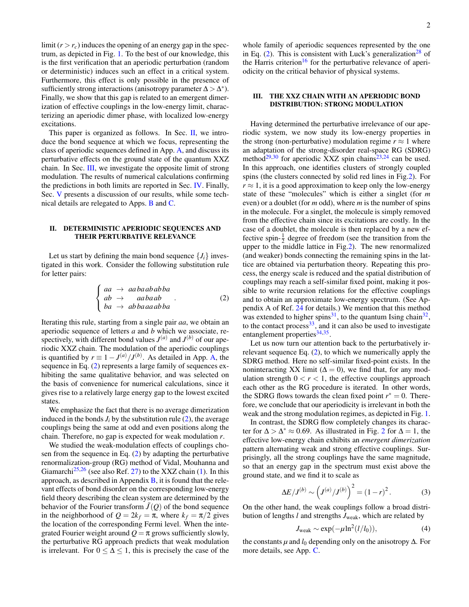limit  $(r > r_c)$  induces the opening of an energy gap in the spectrum, as depicted in Fig. [1.](#page-1-1) To the best of our knowledge, this is the first verification that an aperiodic perturbation (random or deterministic) induces such an effect in a critical system. Furthermore, this effect is only possible in the presence of sufficiently strong interactions (anisotropy parameter  $\Delta > \Delta^*$ ). Finally, we show that this gap is related to an emergent dimerization of effective couplings in the low-energy limit, characterizing an aperiodic dimer phase, with localized low-energy excitations.

This paper is organized as follows. In Sec. [II,](#page-2-1) we introduce the bond sequence at which we focus, representing the class of aperiodic sequences defined in App. [A,](#page-6-0) and discuss its perturbative effects on the ground state of the quantum XXZ chain. In Sec. [III,](#page-2-2) we investigate the opposite limit of strong modulation. The results of numerical calculations confirming the predictions in both limits are reported in Sec. [IV.](#page-4-0) Finally, Sec. [V](#page-5-0) presents a discussion of our results, while some technical details are relegated to Apps. [B](#page-8-0) and [C.](#page-10-3)

#### <span id="page-2-1"></span>II. DETERMINISTIC APERIODIC SEQUENCES AND THEIR PERTURBATIVE RELEVANCE

Let us start by defining the main bond sequence  $\{J_i\}$  investigated in this work. Consider the following substitution rule for letter pairs:

<span id="page-2-0"></span>
$$
\begin{cases}\naa \to aabaababba \\
ab \to aabaab \\
ba \to abbaaaabba\n\end{cases}.
$$
\n(2)

Iterating this rule, starting from a single pair *aa*, we obtain an aperiodic sequence of letters *a* and *b* which we associate, respectively, with different bond values  $J^{(a)}$  and  $J^{(b)}$  of our aperiodic XXZ chain. The modulation of the aperiodic couplings is quantified by  $r \equiv 1 - J^{(a)}/J^{(b)}$ . As detailed in App. [A,](#page-6-0) the sequence in Eq. [\(2\)](#page-2-0) represents a large family of sequences exhibiting the same qualitative behavior, and was selected on the basis of convenience for numerical calculations, since it gives rise to a relatively large energy gap to the lowest excited states.

We emphasize the fact that there is no average dimerization induced in the bonds  $J_i$  by the substitution rule  $(2)$ , the average couplings being the same at odd and even positions along the chain. Therefore, no gap is expected for weak modulation *r*.

We studied the weak-modulation effects of couplings chosen from the sequence in Eq. [\(2\)](#page-2-0) by adapting the perturbative renormalization-group (RG) method of Vidal, Mouhanna and Giamarchi<sup>[25](#page-11-16)[,26](#page-11-17)</sup> (see also Ref. [27\)](#page-11-18) to the XXZ chain [\(1\)](#page-1-0). In this approach, as described in Appendix [B,](#page-8-0) it is found that the relevant effects of bond disorder on the corresponding low-energy field theory describing the clean system are determined by the behavior of the Fourier transform  $\tilde{J}(Q)$  of the bond sequence in the neighborhood of  $Q = 2k_f = \pi$ , where  $k_f = \pi/2$  gives the location of the corresponding Fermi level. When the integrated Fourier weight around  $Q = \pi$  grows sufficiently slowly, the perturbative RG approach predicts that weak modulation is irrelevant. For  $0 \leq \Delta \leq 1$ , this is precisely the case of the

whole family of aperiodic sequences represented by the one in Eq.  $(2)$ . This is consistent with Luck's generalization<sup>[28](#page-11-19)</sup> of the Harris criterion<sup>[16](#page-11-7)</sup> for the perturbative relevance of aperiodicity on the critical behavior of physical systems.

# <span id="page-2-2"></span>III. THE XXZ CHAIN WITH AN APERIODIC BOND DISTRIBUTION: STRONG MODULATION

Having determined the perturbative irrelevance of our aperiodic system, we now study its low-energy properties in the strong (non-perturbative) modulation regime  $r \approx 1$  where an adaptation of the strong-disorder real-space RG (SDRG) method<sup>[29](#page-11-20)[,30](#page-11-21)</sup> for aperiodic XXZ spin chains<sup>[23,](#page-11-14)[24](#page-11-15)</sup> can be used. In this approach, one identifies clusters of strongly coupled spins (the clusters connected by solid red lines in Fig[.2\)](#page-3-0). For  $r \approx 1$ , it is a good approximation to keep only the low-energy state of these "molecules" which is either a singlet (for *m* even) or a doublet (for *m* odd), where *m* is the number of spins in the molecule. For a singlet, the molecule is simply removed from the effective chain since its excitations are costly. In the case of a doublet, the molecule is then replaced by a new effective spin- $\frac{1}{2}$  degree of freedom (see the transition from the upper to the middle lattice in Fig[.2\)](#page-3-0). The new renormalized (and weaker) bonds connecting the remaining spins in the lattice are obtained via perturbation theory. Repeating this process, the energy scale is reduced and the spatial distribution of couplings may reach a self-similar fixed point, making it possible to write recursion relations for the effective couplings and to obtain an approximate low-energy spectrum. (See Appendix A of Ref. [24](#page-11-15) for details.) We mention that this method was extended to higher spins<sup>[31](#page-11-22)</sup>, to the quantum Ising chain<sup>[32](#page-11-23)</sup>, to the contact process  $33$ , and it can also be used to investigate entanglement properties<sup>[34](#page-11-25)[,35](#page-11-26)</sup>.

Let us now turn our attention back to the perturbatively irrelevant sequence Eq. [\(2\)](#page-2-0), to which we numerically apply the SDRG method. Here no self-similar fixed-point exists. In the noninteracting XX limit ( $\Delta = 0$ ), we find that, for any modulation strength  $0 < r < 1$ , the effective couplings approach each other as the RG procedure is iterated. In other words, the SDRG flows towards the clean fixed point  $r^* = 0$ . Therefore, we conclude that our aperiodicity is irrelevant in both the weak and the strong modulation regimes, as depicted in Fig. [1.](#page-1-1)

In contrast, the SDRG flow completely changes its character for  $\Delta > \Delta^* \approx 0.69$ . As illustrated in Fig. [2](#page-3-0) for  $\Delta = 1$ , the effective low-energy chain exhibits an *emergent dimerization* pattern alternating weak and strong effective couplings. Surprisingly, all the strong couplings have the same magnitude, so that an energy gap in the spectrum must exist above the ground state, and we find it to scale as

<span id="page-2-3"></span>
$$
\Delta E/J^{(b)} \sim (J^{(a)}/J^{(b)})^2 = (1-r)^2.
$$
 (3)

On the other hand, the weak couplings follow a broad distribution of lengths *l* and strengths  $J_{\text{weak}}$ , which are related by

<span id="page-2-4"></span>
$$
J_{\text{weak}} \sim \exp(-\mu \ln^2(l/l_0)),\tag{4}
$$

the constants  $\mu$  and  $l_0$  depending only on the anisotropy  $\Delta$ . For more details, see App. [C.](#page-10-3)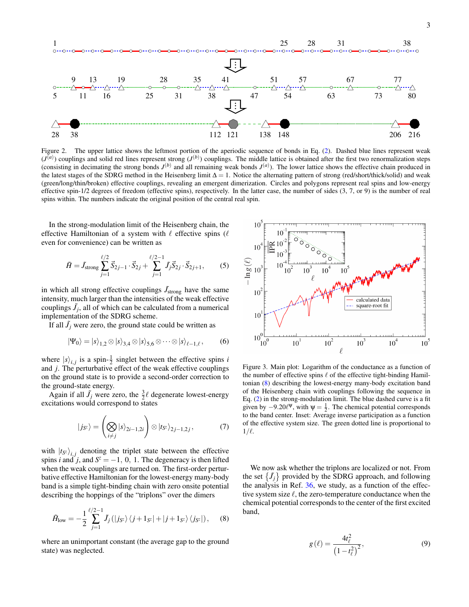

<span id="page-3-0"></span>Figure 2. The upper lattice shows the leftmost portion of the aperiodic sequence of bonds in Eq. [\(2\)](#page-2-0). Dashed blue lines represent weak  $(J<sup>(a)</sup>)$  couplings and solid red lines represent strong  $(J<sup>(b)</sup>)$  couplings. The middle lattice is obtained after the first two renormalization steps (consisting in decimating the strong bonds  $J^{(b)}$  and all remaining weak bonds  $J^{(a)}$ ). The lower lattice shows the effective chain produced in the latest stages of the SDRG method in the Heisenberg limit  $\Delta = 1$ . Notice the alternating pattern of strong (red/short/thick/solid) and weak (green/long/thin/broken) effective couplings, revealing an emergent dimerization. Circles and polygons represent real spins and low-energy effective spin-1/2 degrees of freedom (effective spins), respectively. In the latter case, the number of sides  $(3, 7, 0r 9)$  is the number of real spins within. The numbers indicate the original position of the central real spin.

In the strong-modulation limit of the Heisenberg chain, the effective Hamiltonian of a system with  $\ell$  effective spins ( $\ell$ even for convenience) can be written as

$$
\tilde{H} = \tilde{J}_{\text{strong}} \sum_{j=1}^{\ell/2} \vec{S}_{2j-1} \cdot \vec{S}_{2j} + \sum_{j=1}^{\ell/2-1} \tilde{J}_j \vec{S}_{2j} \cdot \vec{S}_{2j+1},\qquad(5)
$$

in which all strong effective couplings  $\tilde{J}_{\text{strong}}$  have the same intensity, much larger than the intensities of the weak effective couplings  $\tilde{J}_j$ , all of which can be calculated from a numerical implementation of the SDRG scheme.

If all  $\tilde{J}_j$  were zero, the ground state could be written as

$$
|\Psi_0\rangle = |s\rangle_{1,2} \otimes |s\rangle_{3,4} \otimes |s\rangle_{5,6} \otimes \cdots \otimes |s\rangle_{\ell-1,\ell},\tag{6}
$$

where  $|s\rangle_{i,j}$  is a spin- $\frac{1}{2}$  singlet between the effective spins *i* and *j*. The perturbative effect of the weak effective couplings on the ground state is to provide a second-order correction to the ground-state energy.

Again if all  $\tilde{J}_j$  were zero, the  $\frac{3}{2}\ell$  degenerate lowest-energy excitations would correspond to states

$$
|j_{S^{z}}\rangle = \left(\bigotimes_{i \neq j} |s\rangle_{2i-1,2i}\right) \otimes |t_{S^{z}}\rangle_{2j-1,2j},\tag{7}
$$

with  $|t_{S<sup>z</sup>}\rangle_{i,j}$  denoting the triplet state between the effective spins *i* and *j*, and  $S^z = -1$ , 0, 1. The degeneracy is then lifted when the weak couplings are turned on. The first-order perturbative effective Hamiltonian for the lowest-energy many-body band is a simple tight-binding chain with zero onsite potential describing the hoppings of the "triplons" over the dimers

<span id="page-3-1"></span>
$$
\tilde{H}_{\text{low}} = -\frac{1}{2} \sum_{j=1}^{\ell/2 - 1} \tilde{J}_j \left( |j_{S^z} \rangle \langle j + 1_{S^z} | + |j + 1_{S^z} \rangle \langle j_{S^z} | \right), \quad (8)
$$

where an unimportant constant (the average gap to the ground state) was neglected.



<span id="page-3-2"></span>Figure 3. Main plot: Logarithm of the conductance as a function of the number of effective spins  $\ell$  of the effective tight-binding Hamiltonian [\(8\)](#page-3-1) describing the lowest-energy many-body excitation band of the Heisenberg chain with couplings following the sequence in Eq. [\(2\)](#page-2-0) in the strong-modulation limit. The blue dashed curve is a fit given by  $-9.20\ell^{\Psi}$ , with  $\Psi = \frac{1}{2}$ . The chemical potential corresponds to the band center. Inset: Average inverse participation as a function of the effective system size. The green dotted line is proportional to  $1/\ell$ .

We now ask whether the triplons are localized or not. From the set  $\{\tilde{J}_j\}$  provided by the SDRG approach, and following the analysis in Ref. [36,](#page-11-27) we study, as a function of the effective system size  $\ell$ , the zero-temperature conductance when the chemical potential corresponds to the center of the first excited band,

$$
g\left(\ell\right) = \frac{4t_{\ell}^{2}}{\left(1 - t_{\ell}^{2}\right)^{2}},\tag{9}
$$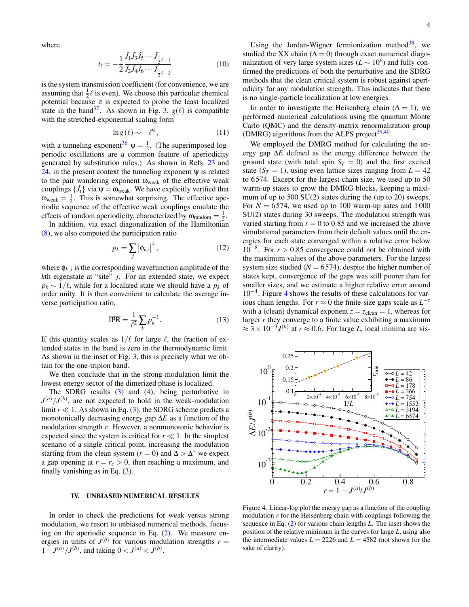where

$$
t_{\ell} = -\frac{1}{2} \frac{\tilde{J}_1 \tilde{J}_3 \tilde{J}_5 \cdots \tilde{J}_1}{\tilde{J}_2 \tilde{J}_4 \tilde{J}_6 \cdots \tilde{J}_1}_{\ell-2}
$$
(10)

is the system transmission coefficient (for convenience, we are assuming that  $\frac{1}{2}\ell$  is even). We choose this particular chemical potential because it is expected to probe the least localized state in the band<sup>[37](#page-11-28)</sup>. As shown in Fig. [3,](#page-3-2)  $g(\ell)$  is compatible with the stretched-exponential scaling form

$$
\ln g\left(\ell\right) \sim -\ell^{\Psi},\tag{11}
$$

with a tunneling exponent<sup>[36](#page-11-27)</sup>  $\psi = \frac{1}{2}$ . (The superimposed logperiodic oscillations are a common feature of aperiodicity generated by substitution rules.) As shown in Refs. [23](#page-11-14) and [24,](#page-11-15) in the present context the tunneling exponent  $\psi$  is related to the pair wandering exponent  $\omega_{\text{weak}}$  of the effective weak couplings  $\{\tilde{J}_i\}$  via  $\psi = \omega_{\text{weak}}$ . We have explicitly verified that  $\omega_{\text{weak}} = \frac{1}{2}$ . This is somewhat surprising. The effective aperiodic sequence of the effective weak couplings emulate the effects of random aperiodicity, characterized by  $\omega_{\text{random}} = \frac{1}{2}$ .

In addition, via exact diagonalization of the Hamiltonian [\(8\)](#page-3-1), we also computed the participation ratio

$$
p_k = \sum_j \left| \phi_{kj} \right|^4,\tag{12}
$$

where  $\phi_{k,j}$  is the corresponding wavefunction amplitude of the *k*th eigenstate at "site" *j*. For an extended state, we expect  $p_k \sim 1/\ell$ , while for a localized state we should have a  $p_k$  of order unity. It is then convenient to calculate the average inverse participation ratio,

$$
\overline{\text{IPR}} = \frac{1}{\ell^2} \sum_{k} p_k^{-1}.
$$
 (13)

If this quantity scales as  $1/\ell$  for large  $\ell$ , the fraction of extended states in the band is zero in the thermodynamic limit. As shown in the inset of Fig. [3,](#page-3-2) this is precisely what we obtain for the one-triplon band.

We then conclude that in the strong-modulation limit the lowest-energy sector of the dimerized phase is localized.

The SDRG results  $(3)$  and  $(4)$ , being perturbative in  $J^{(a)}/J^{(b)}$ , are not expected to hold in the weak-modulation limit  $r \ll 1$ . As shown in Eq. [\(3\)](#page-2-3), the SDRG scheme predicts a monotonically decreasing energy gap ∆*E* as a function of the modulation strength *r*. However, a nonmonotonic behavior is expected since the system is critical for  $r \ll 1$ . In the simplest scenario of a single critical point, increasing the modulation starting from the clean system ( $r = 0$ ) and  $\Delta > \Delta^*$  we expect a gap opening at  $r = r_c > 0$ , then reaching a maximum, and finally vanishing as in Eq. [\(3\)](#page-2-3).

#### <span id="page-4-0"></span>IV. UNBIASED NUMERICAL RESULTS

In order to check the predictions for weak versus strong modulation, we resort to unbiased numerical methods, focusing on the aperiodic sequence in Eq. [\(2\)](#page-2-0). We measure energies in units of  $J^{(b)}$  for various modulation strengths  $r =$  $1 - J^{(a)}/J^{(b)}$ , and taking  $0 < J^{(a)} < J^{(b)}$ .

Using the Jordan-Wigner fermionization method<sup>[38](#page-11-29)</sup>, we studied the XX chain ( $\Delta = 0$ ) through exact numerical diagonalization of very large system sizes ( $L \sim 10^6$ ) and fully confirmed the predictions of both the perturbative and the SDRG methods that the clean critical system is robust against aperiodicity for any modulation strength. This indicates that there is no single-particle localization at low energies.

In order to investigate the Heisenberg chain ( $\Delta = 1$ ), we performed numerical calculations using the quantum Monte Carlo (QMC) and the density-matrix renormalization group (DMRG) algorithms from the ALPS project $39,40$  $39,40$ .

We employed the DMRG method for calculating the energy gap ∆*E* defined as the energy difference between the ground state (with total spin  $S_T = 0$ ) and the first excited state  $(S_T = 1)$ , using even lattice sizes ranging from  $L = 42$ to 6 574. Except for the largest chain size, we used up to 50 warm-up states to grow the DMRG blocks, keeping a maximum of up to 500 SU(2) states during the (up to 20) sweeps. For  $N = 6574$ , we used up to 100 warm-up sates and 1000 SU(2) states during 30 sweeps. The modulation strength was varied starting from  $r = 0$  to 0.85 and we increased the above simulational parameters from their default values until the energies for each state converged within a relative error below  $10^{-8}$ . For  $r > 0.85$  convergence could not be obtained with the maximum values of the above parameters. For the largest system size studied ( $N = 6574$ ), despite the higher number of states kept, convergence of the gaps was still poorer than for smaller sizes, and we estimate a higher relative error around 10−<sup>4</sup> . Figure [4](#page-4-1) shows the results of these calculations for various chain lengths. For  $r \approx 0$  the finite-size gaps scale as  $L^{-z}$ with a (clean) dynamical exponent  $z = z_{clean} = 1$ , whereas for larger *r* they converge to a finite value exhibiting a maximum  $\approx 3 \times 10^{-3} J^{(b)}$  at  $r \approx 0.6$ . For large *L*, local minima are vis-



<span id="page-4-1"></span>Figure 4. Linear-log plot the energy gap as a function of the coupling modulation *r* for the Heisenberg chain with couplings following the sequence in Eq. [\(2\)](#page-2-0) for various chain lengths *L*. The inset shows the position of the relative minimum in the curves for large *L*, using also the intermediate values  $L = 2226$  and  $L = 4582$  (not shown for the sake of clarity).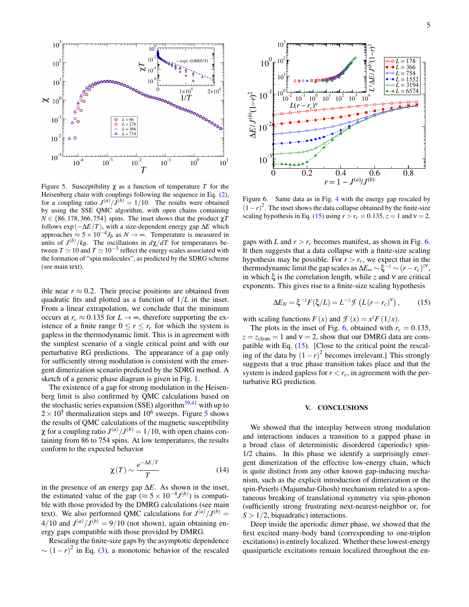

<span id="page-5-1"></span>Figure 5. Susceptibility  $\chi$  as a function of temperature *T* for the Heisenberg chain with couplings following the sequence in Eq. [\(2\)](#page-2-0), for a coupling ratio  $J^{(a)}/J^{(b)} = 1/10$ . The results were obtained by using the SSE QMC algorithm, with open chains containing  $N \in \{86, 178, 366, 754\}$  spins. The inset shows that the product  $\chi T$ follows  $\exp(-\Delta E/T)$ , with a size-dependent energy gap  $\Delta E$  which approaches  $\approx 5 \times 10^{-4} J_b$  as  $N \to \infty$ . Temperature is measured in units of  $J^{(b)}/k_B$ . The oscillations in  $d\chi/dT$  for temperatures between  $T \simeq 10$  and  $T \simeq 10^{-3}$  reflect the energy scales associated with the formation of "spin molecules", as predicted by the SDRG scheme (see main text).

ible near  $r \approx 0.2$ . Their precise positions are obtained from quadratic fits and plotted as a function of 1/*L* in the inset. From a linear extrapolation, we conclude that the minimum occurs at  $r_c \approx 0.135$  for  $L \rightarrow \infty$ , therefore supporting the existence of a finite range  $0 \le r \le r_c$  for which the system is gapless in the thermodynamic limit. This is in agreement with the simplest scenario of a single critical point and with our perturbative RG predictions. The appearance of a gap only for sufficiently strong modulation is consistent with the emergent dimerization scenario predicted by the SDRG method. A sketch of a generic phase diagram is given in Fig. [1.](#page-1-1)

The existence of a gap for strong modulation in the Heisenberg limit is also confirmed by QMC calculations based on the stochastic series expansion (SSE) algorithm<sup>[39](#page-11-30)[,41](#page-11-32)</sup> with up to  $2 \times 10^5$  $2 \times 10^5$  thermalization steps and  $10^6$  sweeps. Figure 5 shows the results of QMC calculations of the magnetic susceptibility  $\chi$  for a coupling ratio  $J^{(a)}/J^{(b)} = 1/10$ , with open chains containing from 86 to 754 spins. At low temperatures, the results conform to the expected behavior

$$
\chi(T) \sim \frac{e^{-\Delta E/T}}{T}
$$
 (14)

in the presence of an energy gap ∆*E*. As shown in the inset, the estimated value of the gap ( $\approx$  5  $\times$  10<sup>-4</sup>J<sup>(b)</sup>) is compatible with those provided by the DMRG calculations (see main text). We also performed QMC calculations for  $J^{(a)}/J^{(b)} =$  $4/10$  and  $J^{(a)}/J^{(b)} = 9/10$  (not shown), again obtaining energy gaps compatible with those provided by DMRG.

Rescaling the finite-size gaps by the asymptotic dependence  $\sim (1-r)^2$  in Eq. [\(3\)](#page-2-3), a monotonic behavior of the rescaled



<span id="page-5-3"></span>Figure 6. Same data as in Fig. [4](#page-4-1) with the energy gap rescaled by  $(1-r)^2$ . The inset shows the data collapse obtained by the finite-size scaling hypothesis in Eq. [\(15\)](#page-5-2) using  $r > r_c = 0.135$ ,  $z = 1$  and  $v = 2$ .

gaps with *L* and  $r > r_c$  becomes manifest, as shown in Fig. [6.](#page-5-3) It then suggests that a data collapse with a finite-size scaling hypothesis may be possible. For  $r > r_c$ , we expect that in the thermodynamic limit the gap scales as  $\Delta E_{\infty} \sim \xi^{-z} \sim (r - r_c)^{zv}$ , in which ξ is the correlation length, while *z* and ν are critical exponents. This gives rise to a finite-size scaling hypothesis

<span id="page-5-2"></span>
$$
\Delta E_N = \xi^{-z} F(\xi/L) = L^{-z} \mathcal{F}\left(L(r - r_c)^{\mathcal{V}}\right),\tag{15}
$$

with scaling functions  $F(x)$  and  $\mathcal{F}(x) = x^z F(1/x)$ .

The plots in the inset of Fig. [6,](#page-5-3) obtained with  $r_c = 0.135$ ,  $z = z_{clean} = 1$  and  $v = 2$ , show that our DMRG data are compatible with Eq. [\(15\)](#page-5-2). [Close to the critical point the rescaling of the data by  $(1 - r)^2$  becomes irrelevant.] This strongly suggests that a true phase transition takes place and that the system is indeed gapless for  $r < r_c$ , in agreement with the perturbative RG prediction.

### <span id="page-5-0"></span>V. CONCLUSIONS

We showed that the interplay between strong modulation and interactions induces a transition to a gapped phase in a broad class of deterministic disordered (aperiodic) spin-1/2 chains. In this phase we identify a surprisingly emergent dimerization of the effective low-energy chain, which is quite distinct from any other known gap-inducing mechanism, such as the explicit introduction of dimerization or the spin-Peierls (Majumdar-Ghosh) mechanism related to a spontaneous breaking of translational symmetry via spin-phonon (sufficiently strong frustrating next-nearest-neighbor or, for  $S > 1/2$ , biquadratic) interactions.

Deep inside the aperiodic dimer phase, we showed that the first excited many-body band (corresponding to one-triplon excitations) is entirely localized. Whether these lowest-energy quasiparticle excitations remain localized throughout the en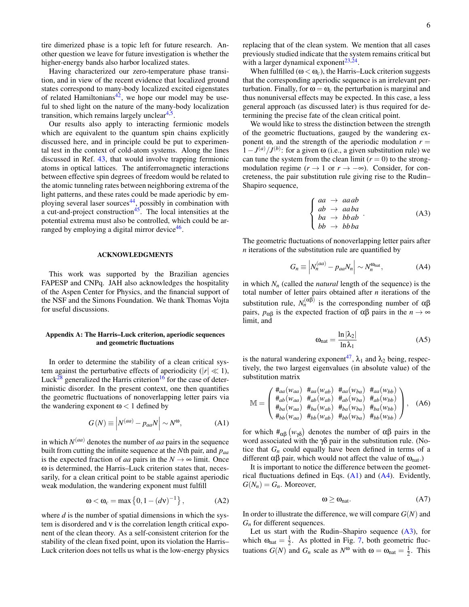tire dimerized phase is a topic left for future research. Another question we leave for future investigation is whether the higher-energy bands also harbor localized states.

Having characterized our zero-temperature phase transition, and in view of the recent evidence that localized ground states correspond to many-body localized excited eigenstates of related Hamiltonians<sup>[42](#page-11-33)</sup>, we hope our model may be useful to shed light on the nature of the many-body localization transition, which remains largely unclear<sup>[4](#page-11-34)[,5](#page-11-0)</sup>.

Our results also apply to interacting fermionic models which are equivalent to the quantum spin chains explicitly discussed here, and in principle could be put to experimental test in the context of cold-atom systems. Along the lines discussed in Ref. [43,](#page-11-35) that would involve trapping fermionic atoms in optical lattices. The antiferromagnetic interactions between effective spin degrees of freedom would be related to the atomic tunneling rates between neighboring extrema of the light patterns, and these rates could be made aperiodic by employing several laser sources $44$ , possibly in combination with a cut-and-project construction<sup>[45](#page-11-37)</sup>. The local intensities at the potential extrema must also be controlled, which could be ar-ranged by employing a digital mirror device<sup>[46](#page-11-38)</sup>.

#### ACKNOWLEDGMENTS

This work was supported by the Brazilian agencies FAPESP and CNPq. JAH also acknowledges the hospitality of the Aspen Center for Physics, and the financial support of the NSF and the Simons Foundation. We thank Thomas Vojta for useful discussions.

# <span id="page-6-0"></span>Appendix A: The Harris–Luck criterion, aperiodic sequences and geometric fluctuations

In order to determine the stability of a clean critical system against the perturbative effects of aperiodicity ( $|r| \ll 1$ ), Luck<sup>[28](#page-11-19)</sup> generalized the Harris criterion<sup>[16](#page-11-7)</sup> for the case of deterministic disorder. In the present context, one then quantifies the geometric fluctuations of nonoverlapping letter pairs via the wandering exponent  $\omega$  < 1 defined by

<span id="page-6-1"></span>
$$
G(N) \equiv \left| N^{(aa)} - p_{aa} N \right| \sim N^{\omega}, \tag{A1}
$$

in which  $N<sup>(aa)</sup>$  denotes the number of *aa* pairs in the sequence built from cutting the infinite sequence at the *N*th pair, and *paa* is the expected fraction of *aa* pairs in the  $N \rightarrow \infty$  limit. Once ω is determined, the Harris–Luck criterion states that, necessarily, for a clean critical point to be stable against aperiodic weak modulation, the wandering exponent must fulfill

$$
\omega < \omega_c = \max\left\{0, 1 - (d\nu)^{-1}\right\},\tag{A2}
$$

where *d* is the number of spatial dimensions in which the system is disordered and ν is the correlation length critical exponent of the clean theory. As a self-consistent criterion for the stability of the clean fixed point, upon its violation the Harris– Luck criterion does not tells us what is the low-energy physics

replacing that of the clean system. We mention that all cases previously studied indicate that the system remains critical but with a larger dynamical exponent<sup>[23](#page-11-14)[,24](#page-11-15)</sup>.

When fulfilled ( $\omega < \omega_c$ ), the Harris–Luck criterion suggests that the corresponding aperiodic sequence is an irrelevant perturbation. Finally, for  $\omega = \omega_c$  the perturbation is marginal and thus nonuniversal effects may be expected. In this case, a less general approach (as discussed later) is thus required for determining the precise fate of the clean critical point.

We would like to stress the distinction between the strength of the geometric fluctuations, gauged by the wandering exponent  $\omega$ , and the strength of the aperiodic modulation  $r =$  $(1 - J^{(a)}/J^{(b)})$ : for a given  $\omega$  (i.e., a given substitution rule) we can tune the system from the clean limit  $(r = 0)$  to the strongmodulation regime ( $r \to 1$  or  $r \to -\infty$ ). Consider, for concreteness, the pair substitution rule giving rise to the Rudin– Shapiro sequence,

<span id="page-6-3"></span>
$$
\begin{cases}\naa \to aaab \\
ab \to aaba \\
ba \to bbab \\
bb \to bbba\n\end{cases} \tag{A3}
$$

The geometric fluctuations of nonoverlapping letter pairs after *n* iterations of the substitution rule are quantified by

<span id="page-6-2"></span>
$$
G_n \equiv \left| N_n^{(aa)} - p_{aa} N_n \right| \sim N_n^{\omega_{\text{nat}}},\tag{A4}
$$

in which  $N_n$  (called the *natural* length of the sequence) is the total number of letter pairs obtained after *n* iterations of the substitution rule,  $N_n^{(\alpha\beta)}$  is the corresponding number of  $\alpha\beta$ pairs,  $p_{\alpha\beta}$  is the expected fraction of αβ pairs in the *n* → ∞ limit, and

<span id="page-6-5"></span>
$$
\omega_{nat} = \frac{\ln|\lambda_2|}{\ln \lambda_1} \tag{A5}
$$

is the natural wandering exponent<sup>[47](#page-12-0)</sup>,  $\lambda_1$  and  $\lambda_2$  being, respectively, the two largest eigenvalues (in absolute value) of the substitution matrix

$$
\mathbb{M} = \begin{pmatrix} #_{aa}(w_{aa}) & #_{aa}(w_{ab}) & #_{aa}(w_{ba}) & #_{aa}(w_{bb}) \\ #_{ab}(w_{aa}) & #_{ab}(w_{ab}) & #_{ab}(w_{ba}) & #_{ab}(w_{bb}) \\ #_{ba}(w_{aa}) & #_{ba}(w_{ab}) & #_{ba}(w_{ba}) & #_{ba}(w_{bb}) \\ #_{bb}(w_{aa}) & #_{bb}(w_{ab}) & #_{bb}(w_{ba}) & #_{bb}(w_{bb}) \end{pmatrix}, \quad (A6)
$$

for which  $#_{\alpha\beta}(w_{\gamma\delta})$  denotes the number of αβ pairs in the word associated with the  $\gamma\delta$  pair in the substitution rule. (Notice that  $G_n$  could equally have been defined in terms of a different αβ pair, which would not affect the value of  $ω_{nat}$ .)

It is important to notice the difference between the geometrical fluctuations defined in Eqs. [\(A1\)](#page-6-1) and [\(A4\)](#page-6-2). Evidently,  $G(N_n) = G_n$ . Moreover,

<span id="page-6-4"></span>
$$
\omega \ge \omega_{\text{nat}}.\tag{A7}
$$

In order to illustrate the difference, we will compare  $G(N)$  and *G<sup>n</sup>* for different sequences.

Let us start with the Rudin–Shapiro sequence  $(A3)$ , for which  $\omega_{\text{nat}} = \frac{1}{2}$ . As plotted in Fig. [7,](#page-7-0) both geometric fluctuations  $G(N)$  and  $G_n$  scale as  $N^{\omega}$  with  $\omega = \omega_{nat} = \frac{1}{2}$ . This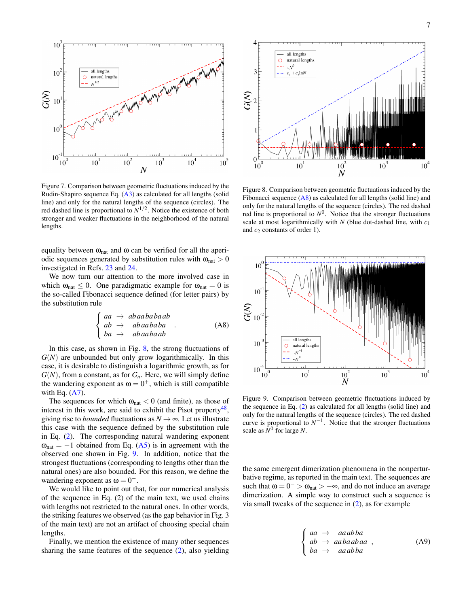

<span id="page-7-0"></span>Figure 7. Comparison between geometric fluctuations induced by the Rudin-Shapiro sequence Eq. [\(A3\)](#page-6-3) as calculated for all lengths (solid line) and only for the natural lengths of the sequence (circles). The red dashed line is proportional to  $N^{1/2}$ . Notice the existence of both stronger and weaker fluctuations in the neighborhood of the natural lengths.

equality between  $\omega_{nat}$  and  $\omega$  can be verified for all the aperiodic sequences generated by substitution rules with  $\omega_{nat} > 0$ investigated in Refs. [23](#page-11-14) and [24.](#page-11-15)

We now turn our attention to the more involved case in which  $\omega_{nat} \leq 0$ . One paradigmatic example for  $\omega_{nat} = 0$  is the so-called Fibonacci sequence defined (for letter pairs) by the substitution rule

<span id="page-7-3"></span>
$$
\begin{cases}\naa \to abaababab \\
ab \to abaababba \\
ba \to abaabaab\n\end{cases}.
$$
\n(A8)

In this case, as shown in Fig.  $8$ , the strong fluctuations of *G*(*N*) are unbounded but only grow logarithmically. In this case, it is desirable to distinguish a logarithmic growth, as for  $G(N)$ , from a constant, as for  $G<sub>n</sub>$ . Here, we will simply define the wandering exponent as  $\omega = 0^+$ , which is still compatible with Eq.  $(A7)$ .

The sequences for which  $\omega_{nat} < 0$  (and finite), as those of interest in this work, are said to exhibit the Pisot property<sup>[48](#page-12-1)</sup>, giving rise to *bounded* fluctuations as  $N \rightarrow \infty$ . Let us illustrate this case with the sequence defined by the substitution rule in Eq. [\(2\)](#page-2-0). The corresponding natural wandering exponent  $\omega_{\text{nat}} = -1$  obtained from Eq. [\(A5\)](#page-6-5) is in agreement with the observed one shown in Fig. [9.](#page-7-2) In addition, notice that the strongest fluctuations (corresponding to lengths other than the natural ones) are also bounded. For this reason, we define the wandering exponent as  $\omega = 0^{-}$ .

We would like to point out that, for our numerical analysis of the sequence in Eq. (2) of the main text, we used chains with lengths not restricted to the natural ones. In other words, the striking features we observed (as the gap behavior in Fig. 3 of the main text) are not an artifact of choosing special chain lengths.

Finally, we mention the existence of many other sequences sharing the same features of the sequence [\(2\)](#page-2-0), also yielding



<span id="page-7-1"></span>Figure 8. Comparison between geometric fluctuations induced by the Fibonacci sequence  $(A8)$  as calculated for all lengths (solid line) and only for the natural lengths of the sequence (circles). The red dashed red line is proportional to  $N^0$ . Notice that the stronger fluctuations scale at most logarithmically with *N* (blue dot-dashed line, with *c*<sup>1</sup> and  $c_2$  constants of order 1).



<span id="page-7-2"></span>Figure 9. Comparison between geometric fluctuations induced by the sequence in Eq. [\(2\)](#page-2-0) as calculated for all lengths (solid line) and only for the natural lengths of the sequence (circles). The red dashed curve is proportional to  $N^{-1}$ . Notice that the stronger fluctuations scale as  $\tilde{N}^0$  for large *N*.

the same emergent dimerization phenomena in the nonperturbative regime, as reported in the main text. The sequences are such that  $\omega = 0^- > \omega_{nat} > -\infty$ , and do not induce an average dimerization. A simple way to construct such a sequence is via small tweaks of the sequence in [\(2\)](#page-2-0), as for example

<span id="page-7-4"></span>
$$
\begin{cases}\naa \to aaabba \\
ab \to aabaabaa \\
ba \to aaabba\n\end{cases}
$$
, (A9)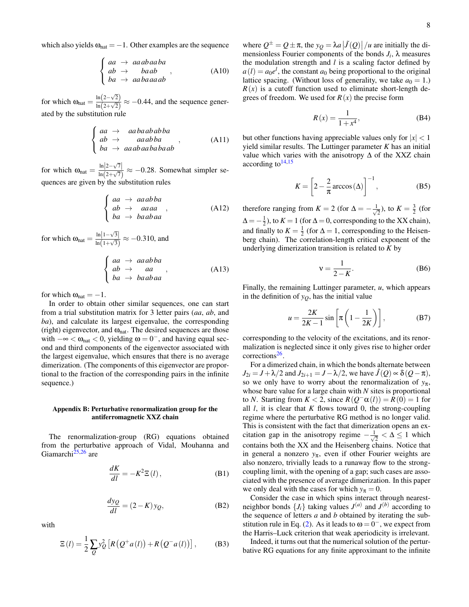which also yields  $\omega_{nat} = -1$ . Other examples are the sequence

$$
\begin{cases}\naa \to aaabaaba \\
ab \to baab \\
ba \to aabaaaab\n\end{cases}
$$
, (A10)

for which  $\omega_{\text{nat}} = \frac{\ln(2-\sqrt{2})}{\ln(2+\sqrt{2})}$  $\frac{\ln(2-\sqrt{2})}{\ln(2+\sqrt{2})} \approx -0.44$ , and the sequence generated by the substitution rule

<span id="page-8-3"></span>
$$
\begin{cases}\naa \to aabaababba \\
ab \to aaabba \\
ba \to aaabaababab\n\end{cases}
$$
, (A11)

for which  $\omega_{\text{nat}} = \frac{\ln|2-\sqrt{7}|}{\ln(2+\sqrt{7})}$  $\frac{\ln|z-v'|}{\ln(2+\sqrt{7})} \approx -0.28$ . Somewhat simpler sequences are given by the substitution rules

$$
\begin{cases}\naa \to aaabba \\
ab \to aaaa \\
ba \to baabaa\n\end{cases}
$$
, (A12)

for which  $\omega_{\text{nat}} = \frac{\ln|1-\sqrt{3}|}{\ln(1+\sqrt{3})}$  $\frac{\ln|1-\sqrt{3}|}{\ln(1+\sqrt{3})} \approx -0.310$ , and

<span id="page-8-4"></span>
$$
\begin{cases}\naa \to aaabba \\
ab \to aa \\
ba \to baabaa\n\end{cases}
$$
, (A13)

for which  $\omega_{nat} = -1$ .

In order to obtain other similar sequences, one can start from a trial substitution matrix for 3 letter pairs (*aa*, *ab*, and *ba*), and calculate its largest eigenvalue, the corresponding (right) eigenvector, and  $\omega_{nat}$ . The desired sequences are those with  $-\infty < \omega_{\text{nat}} < 0$ , yielding  $\omega = 0^{-}$ , and having equal second and third components of the eigenvector associated with the largest eigenvalue, which ensures that there is no average dimerization. (The components of this eigenvector are proportional to the fraction of the corresponding pairs in the infinite sequence.)

# <span id="page-8-0"></span>Appendix B: Perturbative renormalization group for the antiferromagnetic XXZ chain

The renormalization-group (RG) equations obtained from the perturbative approach of Vidal, Mouhanna and Giamarchi $^{25,26}$  $^{25,26}$  $^{25,26}$  $^{25,26}$  are

<span id="page-8-1"></span>
$$
\frac{dK}{dl} = -K^2 \Xi(l),\tag{B1}
$$

$$
\frac{dy_Q}{dl} = (2 - K)y_Q,\tag{B2}
$$

with

$$
\Xi(l) = \frac{1}{2} \sum_{Q} y_Q^2 \left[ R \left( Q^+ a(l) \right) + R \left( Q^- a(l) \right) \right],\tag{B3}
$$

where  $Q^{\pm} = Q \pm \pi$ , the  $y_Q = \lambda a |J(Q)| / u$  are initially the dimensionless Fourier components of the bonds  $J_i$ ,  $\lambda$  measures the modulation strength and *l* is a scaling factor defined by  $a(l) = a_0 e^l$ , the constant  $a_0$  being proportional to the original lattice spacing. (Without loss of generality, we take  $a_0 = 1$ .)  $R(x)$  is a cutoff function used to eliminate short-length degrees of freedom. We used for  $R(x)$  the precise form

$$
R(x) = \frac{1}{1 + x^4},\tag{B4}
$$

but other functions having appreciable values only for  $|x| < 1$ yield similar results. The Luttinger parameter *K* has an initial value which varies with the anisotropy  $\Delta$  of the XXZ chain according to  $14,15$  $14,15$ 

$$
K = \left[2 - \frac{2}{\pi} \arccos(\Delta)\right]^{-1},\tag{B5}
$$

therefore ranging from  $K = 2$  (for  $\Delta = -\frac{1}{\sqrt{2}}$  $\frac{1}{2}$ ), to  $K = \frac{3}{2}$  (for  $\Delta = -\frac{1}{2}$ ), to  $K = 1$  (for  $\Delta = 0$ , corresponding to the XX chain), and finally to  $K = \frac{1}{2}$  (for  $\Delta = 1$ , corresponding to the Heisenberg chain). The correlation-length critical exponent of the underlying dimerization transition is related to *K* by

<span id="page-8-2"></span>
$$
v = \frac{1}{2 - K}.\tag{B6}
$$

Finally, the remaining Luttinger parameter, *u*, which appears in the definition of  $y<sub>O</sub>$ , has the initial value

$$
u = \frac{2K}{2K - 1} \sin \left[ \pi \left( 1 - \frac{1}{2K} \right) \right],
$$
 (B7)

corresponding to the velocity of the excitations, and its renormalization is neglected since it only gives rise to higher order corrections<sup>[26](#page-11-17)</sup>.

For a dimerized chain, in which the bonds alternate between  $J_{2i} = J + \lambda/2$  and  $J_{2i+1} = J - \lambda/2$ , we have  $J(Q) \propto \delta(Q-\pi)$ , so we only have to worry about the renormalization of  $y_\pi$ , whose bare value for a large chain with *N* sites is proportional to *N*. Starting from  $K < 2$ , since  $R(Q<sup>-\alpha</sup>(l)) = R(0) = 1$  for all  $l$ , it is clear that  $K$  flows toward 0, the strong-coupling regime where the perturbative RG method is no longer valid. This is consistent with the fact that dimerization opens an excitation gap in the anisotropy regime  $-\frac{1}{4}$  $\frac{1}{2} < \Delta \leq 1$  which contains both the XX and the Heisenberg chains. Notice that in general a nonzero  $y_{\pi}$ , even if other Fourier weights are also nonzero, trivially leads to a runaway flow to the strongcoupling limit, with the opening of a gap; such cases are associated with the presence of average dimerization. In this paper we only deal with the cases for which  $y_{\pi} = 0$ .

Consider the case in which spins interact through nearestneighbor bonds  $\{J_i\}$  taking values  $J^{(a)}$  and  $J^{(b)}$  according to the sequence of letters *a* and *b* obtained by iterating the sub-stitution rule in Eq. [\(2\)](#page-2-0). As it leads to  $\omega = 0^-$ , we expect from the Harris–Luck criterion that weak aperiodicity is irrelevant.

Indeed, it turns out that the numerical solution of the perturbative RG equations for any finite approximant to the infinite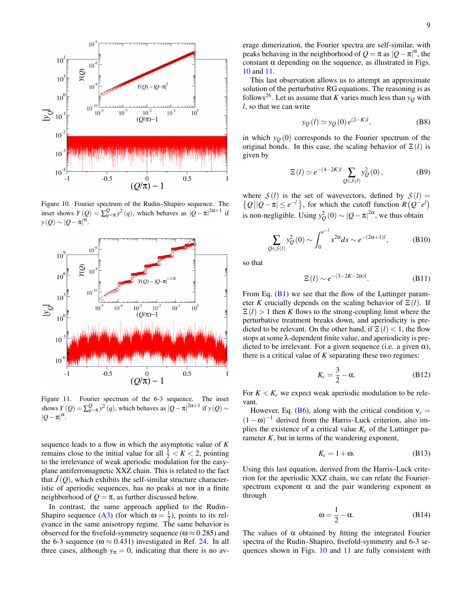

<span id="page-9-0"></span>Figure 10. Fourier spectrum of the Rudin–Shapiro sequence. The inset shows  $Y(Q) = \sum_{q=\pi}^{Q} y^2(q)$ , which behaves as  $|Q-\pi|^{2\alpha+1}$  if  $y(Q) \sim |Q-\pi|^{\alpha}.$ 



<span id="page-9-1"></span>Figure 11. Fourier spectrum of the 6-3 sequence. The inset shows  $Y(Q) = \sum_{q=\pi}^{Q} y^2(q)$ , which behaves as  $|Q - \pi|^{2\alpha+1}$  if  $y(Q) \sim$  $|Q-\pi|^{\alpha}$ .

sequence leads to a flow in which the asymptotic value of *K* remains close to the initial value for all  $\frac{1}{2} < K < 2$ , pointing to the irrelevance of weak aperiodic modulation for the easyplane antiferromagnetic XXZ chain. This is related to the fact that  $\tilde{J}(Q)$ , which exhibits the self-similar structure characteristic of aperiodic sequences, has no peaks at nor in a finite neighborhood of  $Q = \pi$ , as further discussed below.

In contrast, the same approach applied to the Rudin– Shapiro sequence [\(A3\)](#page-6-3) (for which  $\omega = \frac{1}{2}$ ), points to its relevance in the same anisotropy regime. The same behavior is observed for the fivefold-symmetry sequence ( $\omega \approx 0.285$ ) and the 6-3 sequence ( $\omega \approx 0.431$ ) investigated in Ref. [24.](#page-11-15) In all three cases, although  $y_{\pi} = 0$ , indicating that there is no average dimerization, the Fourier spectra are self-similar, with peaks behaving in the neighborhood of  $Q = \pi$  as  $|Q - \pi|^{\alpha}$ , the constant  $\alpha$  depending on the sequence, as illustrated in Figs. [10](#page-9-0) and [11.](#page-9-1)

This last observation allows us to attempt an approximate solution of the perturbative RG equations. The reasoning is as follows<sup>[26](#page-11-17)</sup>. Let us assume that *K* varies much less than  $y<sub>O</sub>$  with *l*, so that we can write

$$
y_Q(l) \simeq y_Q(0) e^{(2-K)l}
$$
, (B8)

in which  $y<sub>Q</sub>(0)$  corresponds to the Fourier spectrum of the original bonds. In this case, the scaling behavior of  $\Xi(l)$  is given by

$$
\Xi\left(l\right) \simeq e^{-\left(4-2K\right)l} \sum_{Q \in S\left(l\right)} y_Q^2\left(0\right),\tag{B9}
$$

where  $S(l)$  is the set of wavevectors, defined by  $S(l)$  =  $\{Q \mid |Q - \pi| \le e^{-l}\}$ , for which the cutoff function  $R(Q^{-}e^{l})$ is non-negligible. Using  $y_Q^2(0) \sim |Q - \pi|^{2\alpha}$ , we thus obtain

$$
\sum_{Q \in S(l)} y_Q^2(0) \sim \int_0^{e^{-l}} x^{2\alpha} dx \sim e^{-(2\alpha+1)l},
$$
 (B10)

so that

$$
\Xi(l) \sim e^{-(3-2K-2\alpha)l}.\tag{B11}
$$

From Eq.  $(B1)$  we see that the flow of the Luttinger parameter *K* crucially depends on the scaling behavior of  $\Xi(l)$ . If  $\mathbb{E}(l) > 1$  then *K* flows to the strong-coupling limit where the perturbative treatment breaks down, and aperiodicity is predicted to be relevant. On the other hand, if  $\Xi(l) < 1$ , the flow stops at some λ-dependent finite value, and aperiodicity is predicted to be irrelevant. For a given sequence (i.e. a given  $\alpha$ ), there is a critical value of *K* separating these two regimes:

$$
K_c = \frac{3}{2} - \alpha.
$$
 (B12)

For  $K < K_c$  we expect weak aperiodic modulation to be relevant.

However, Eq. [\(B6\)](#page-8-2), along with the critical condition  $v_c$  =  $(1 - \omega)^{-1}$  derived from the Harris–Luck criterion, also implies the existence of a critical value  $K_c$  of the Luttinger parameter  $K$ , but in terms of the wandering exponent,

$$
K_c = 1 + \omega. \tag{B13}
$$

Using this last equation, derived from the Harris–Luck criterion for the aperiodic XXZ chain, we can relate the Fourierspectrum exponent  $\alpha$  and the pair wandering exponent  $\omega$ through

<span id="page-9-2"></span>
$$
\omega = \frac{1}{2} - \alpha. \tag{B14}
$$

The values of  $\alpha$  obtained by fitting the integrated Fourier spectra of the Rudin–Shapiro, fivefold-symmetry and 6-3 sequences shown in Figs. [10](#page-9-0) and [11](#page-9-1) are fully consistent with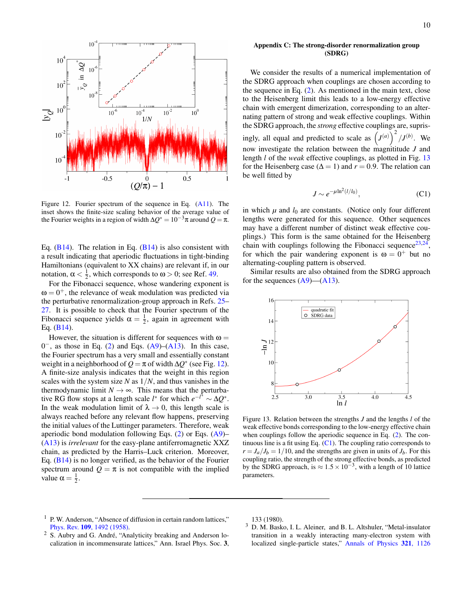

<span id="page-10-4"></span>Figure 12. Fourier spectrum of the sequence in Eq. [\(A11\)](#page-8-3). The inset shows the finite-size scaling behavior of the average value of the Fourier weights in a region of width  $\Delta Q^* = 10^{-3} \pi$  around  $Q = \pi$ .

Eq.  $(B14)$ . The relation in Eq.  $(B14)$  is also consistent with a result indicating that aperiodic fluctuations in tight-binding Hamiltonians (equivalent to XX chains) are relevant if, in our notation,  $\alpha < \frac{1}{2}$ , which corresponds to  $\omega > 0$ ; see Ref. [49.](#page-12-2)

For the Fibonacci sequence, whose wandering exponent is  $\omega = 0^+$ , the relevance of weak modulation was predicted via the perturbative renormalization-group approach in Refs. [25–](#page-11-16) [27.](#page-11-18) It is possible to check that the Fourier spectrum of the Fibonacci sequence yields  $\alpha = \frac{1}{2}$ , again in agreement with Eq. [\(B14\)](#page-9-2).

However, the situation is different for sequences with  $\omega =$  $0^-$ , as those in Eq. [\(2\)](#page-2-0) and Eqs. [\(A9\)](#page-7-4)–[\(A13\)](#page-8-4). In this case, the Fourier spectrum has a very small and essentially constant weight in a neighborhood of  $Q = \pi$  of width  $\Delta Q^*$  (see Fig. [12\)](#page-10-4). A finite-size analysis indicates that the weight in this region scales with the system size *N* as 1/*N*, and thus vanishes in the thermodynamic limit  $N \rightarrow \infty$ . This means that the perturbative RG flow stops at a length scale *l*<sup>\*</sup> for which  $e^{-t^*} \sim \Delta Q^*$ . In the weak modulation limit of  $\lambda \rightarrow 0$ , this length scale is always reached before any relevant flow happens, preserving the initial values of the Luttinger parameters. Therefore, weak aperiodic bond modulation following Eqs. [\(2\)](#page-2-0) or Eqs. [\(A9\)](#page-7-4)– [\(A13\)](#page-8-4) is *irrelevant* for the easy-plane antiferromagnetic XXZ chain, as predicted by the Harris–Luck criterion. Moreover, Eq. [\(B14\)](#page-9-2) is no longer verified, as the behavior of the Fourier spectrum around  $Q = \pi$  is not compatible with the implied value  $\alpha = \frac{1}{2}$ .

#### <span id="page-10-3"></span>Appendix C: The strong-disorder renormalization group (SDRG)

We consider the results of a numerical implementation of the SDRG approach when couplings are chosen according to the sequence in Eq. [\(2\)](#page-2-0). As mentioned in the main text, close to the Heisenberg limit this leads to a low-energy effective chain with emergent dimerization, corresponding to an alternating pattern of strong and weak effective couplings. Within the SDRG approach, the *strong* effective couplings are, suprisingly, all equal and predicted to scale as  $(J^{(a)})^2 / J^{(b)}$ . We now investigate the relation between the magnititude *J* and length *l* of the *weak* effective couplings, as plotted in Fig. [13](#page-10-5) for the Heisenberg case ( $\Delta = 1$ ) and  $r = 0.9$ . The relation can be well fitted by

<span id="page-10-6"></span>
$$
J \sim e^{-\mu \ln^2 (l/l_0)},\tag{C1}
$$

in which  $\mu$  and  $l_0$  are constants. (Notice only four different lengths were generated for this sequence. Other sequences may have a different number of distinct weak effective couplings.) This form is the same obtained for the Heisenberg chain with couplings following the Fibonacci sequence  $23,24$  $23,24$ , for which the pair wandering exponent is  $\omega = 0^+$  but no alternating-coupling pattern is observed.

Similar results are also obtained from the SDRG approach for the sequences  $(A9)$ — $(A13)$ .



<span id="page-10-5"></span>Figure 13. Relation between the strengths *J* and the lengths *l* of the weak effective bonds corresponding to the low-energy effective chain when couplings follow the aperiodic sequence in Eq. [\(2\)](#page-2-0). The continuous line is a fit using Eq.  $(C1)$ . The coupling ratio corresponds to  $r = J_a/J_b = 1/10$ , and the strengths are given in units of  $J_b$ . For this coupling ratio, the strength of the strong effective bonds, as predicted by the SDRG approach, is  $\approx 1.5 \times 10^{-3}$ , with a length of 10 lattice parameters.

133 (1980).

- <span id="page-10-1"></span><sup>2</sup> S. Aubry and G. André, "Analyticity breaking and Anderson localization in incommensurate lattices," Ann. Israel Phys. Soc. 3,
- <span id="page-10-2"></span><sup>3</sup> D. M. Basko, I. L. Aleiner, and B. L. Altshuler, "Metal-insulator transition in a weakly interacting many-electron system with localized single-particle states," [Annals of Physics](http://dx.doi.org/https://doi.org/10.1016/j.aop.2005.11.014) 321, 1126

<span id="page-10-0"></span><sup>&</sup>lt;sup>1</sup> P. W. Anderson, "Absence of diffusion in certain random lattices," Phys. Rev. 109[, 1492 \(1958\).](http://dx.doi.org/ 10.1103/PhysRev.109.1492)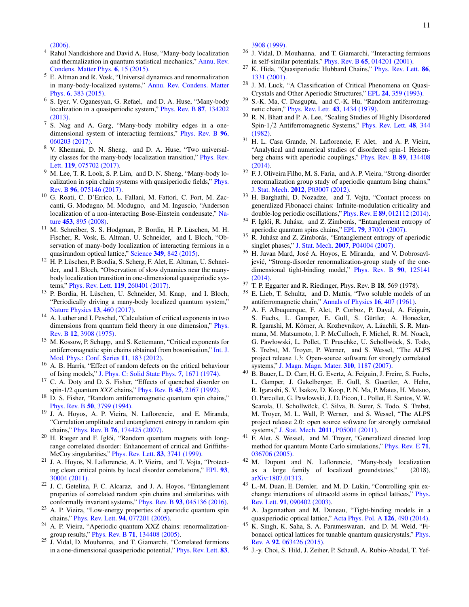[\(2006\).](http://dx.doi.org/https://doi.org/10.1016/j.aop.2005.11.014)

- <span id="page-11-34"></span><sup>4</sup> Rahul Nandkishore and David A. Huse, "Many-body localization and thermalization in quantum statistical mechanics," [Annu. Rev.](http://dx.doi.org/10.1146/annurev-conmatphys-031214-014726) [Condens. Matter Phys.](http://dx.doi.org/10.1146/annurev-conmatphys-031214-014726) 6, 15 (2015).
- <span id="page-11-0"></span><sup>5</sup> E. Altman and R. Vosk, "Universal dynamics and renormalization in many-body-localized systems," [Annu. Rev. Condens. Matter](http://dx.doi.org/ 10.1146/annurev-conmatphys-031214-014701) Phys. 6[, 383 \(2015\).](http://dx.doi.org/ 10.1146/annurev-conmatphys-031214-014701)
- <span id="page-11-1"></span><sup>6</sup> S. Iyer, V. Oganesyan, G. Refael, and D. A. Huse, "Many-body localization in a quasiperiodic system," [Phys. Rev. B](http://dx.doi.org/10.1103/PhysRevB.87.134202) 87, 134202 [\(2013\).](http://dx.doi.org/10.1103/PhysRevB.87.134202)
- <sup>7</sup> S. Nag and A. Garg, "Many-body mobility edges in a onedimensional system of interacting fermions," [Phys. Rev. B](http://dx.doi.org/ 10.1103/PhysRevB.96.060203) 96, [060203 \(2017\).](http://dx.doi.org/ 10.1103/PhysRevB.96.060203)
- <sup>8</sup> V. Khemani, D. N. Sheng, and D. A. Huse, "Two universality classes for the many-body localization transition," [Phys. Rev.](http://dx.doi.org/ 10.1103/PhysRevLett.119.075702) Lett. 119[, 075702 \(2017\).](http://dx.doi.org/ 10.1103/PhysRevLett.119.075702)
- <span id="page-11-2"></span><sup>9</sup> M. Lee, T. R. Look, S. P. Lim, and D. N. Sheng, "Many-body localization in spin chain systems with quasiperiodic fields," [Phys.](http://dx.doi.org/ 10.1103/PhysRevB.96.075146) Rev. B 96[, 075146 \(2017\).](http://dx.doi.org/ 10.1103/PhysRevB.96.075146)
- <span id="page-11-3"></span><sup>10</sup> G. Roati, C. D'Errico, L. Fallani, M. Fattori, C. Fort, M. Zaccanti, G. Modugno, M. Modugno, and M. Inguscio, "Anderson localization of a non-interacting Bose-Einstein condensate," [Na](http://dx.doi.org/doi:10.1038/nature07071)ture 453[, 895 \(2008\).](http://dx.doi.org/doi:10.1038/nature07071)
- <sup>11</sup> M. Schreiber, S. S. Hodgman, P. Bordia, H. P. Lüschen, M. H. Fischer, R. Vosk, E. Altman, U. Schneider, and I. Bloch, "Observation of many-body localization of interacting fermions in a quasirandom optical lattice," Science 349[, 842 \(2015\).](http://dx.doi.org/ https://doi.org/10.1126/science.aaa7432)
- <sup>12</sup> H. P. Lüschen, P. Bordia, S. Scherg, F. Alet, E. Altman, U. Schneider, and I. Bloch, "Observation of slow dynamics near the manybody localization transition in one-dimensional quasiperiodic systems," Phys. Rev. Lett. 119[, 260401 \(2017\).](http://dx.doi.org/ 10.1103/PhysRevLett.119.260401)
- <span id="page-11-4"></span><sup>13</sup> P. Bordia, H. Lüschen, U. Schneider, M. Knap, and I. Bloch, "Periodically driving a many-body localized quantum system," [Nature Physics](http://dx.doi.org/doi:10.1038/nphys4020) 13, 460 (2017).
- <span id="page-11-5"></span><sup>14</sup> A. Luther and I. Peschel, "Calculation of critical exponents in two dimensions from quantum field theory in one dimension," [Phys.](http://dx.doi.org/10.1103/PhysRevB.12.3908) Rev. B 12[, 3908 \(1975\).](http://dx.doi.org/10.1103/PhysRevB.12.3908)
- <span id="page-11-6"></span><sup>15</sup> M. Kossow, P. Schupp, and S. Kettemann, "Critical exponents for antiferromagnetic spin chains obtained from bosonisation," [Int. J.](http://dx.doi.org/ 10.1142/S2010194512006101) [Mod. Phys.: Conf. Series](http://dx.doi.org/ 10.1142/S2010194512006101) 11, 183 (2012).
- <span id="page-11-7"></span><sup>16</sup> A. B. Harris, "Effect of random defects on the critical behaviour of Ising models," [J. Phys. C: Solid State Phys.](http://dx.doi.org/ 10.1088/0022-3719/7/9/009) 7, 1671 (1974).
- <span id="page-11-8"></span><sup>17</sup> C. A. Doty and D. S. Fisher, "Effects of quenched disorder on spin-1/2 quantum *XXZ* chains," Phys. Rev. B 45[, 2167 \(1992\).](http://dx.doi.org/10.1103/PhysRevB.45.2167)
- <span id="page-11-9"></span><sup>18</sup> D. S. Fisher, "Random antiferromagnetic quantum spin chains," Phys. Rev. B 50[, 3799 \(1994\).](http://dx.doi.org/ 10.1103/PhysRevB.50.3799)
- <span id="page-11-10"></span><sup>19</sup> J. A. Hoyos, A. P. Vieira, N. Laflorencie, and E. Miranda, "Correlation amplitude and entanglement entropy in random spin chains," Phys. Rev. B 76[, 174425 \(2007\).](http://dx.doi.org/ 10.1103/PhysRevB.76.174425)
- <span id="page-11-11"></span><sup>20</sup> H. Rieger and F. Iglói, "Random quantum magnets with longrange correlated disorder: Enhancement of critical and Griffiths-McCoy singularities," [Phys. Rev. Lett.](http://dx.doi.org/ 10.1103/PhysRevLett.83.3741) 83, 3741 (1999).
- <span id="page-11-12"></span><sup>21</sup> J. A. Hoyos, N. Laflorencie, A. P. Vieira, and T. Vojta, "Protecting clean critical points by local disorder correlations," [EPL](http://dx.doi.org/10.1209/0295-5075/93/30004) 93, [30004 \(2011\).](http://dx.doi.org/10.1209/0295-5075/93/30004)
- <span id="page-11-13"></span><sup>22</sup> J. C. Getelina, F. C. Alcaraz, and J. A. Hoyos, "Entanglement properties of correlated random spin chains and similarities with conformally invariant systems," Phys. Rev. B 93[, 045136 \(2016\).](http://dx.doi.org/10.1103/PhysRevB.93.045136)
- <span id="page-11-14"></span><sup>23</sup> A. P. Vieira, "Low-energy properties of aperiodic quantum spin chains," Phys. Rev. Lett. 94[, 077201 \(2005\).](http://dx.doi.org/ 10.1103/PhysRevLett.94.077201)
- <span id="page-11-15"></span><sup>24</sup> A. P. Vieira, "Aperiodic quantum XXZ chains: renormalizationgroup results," Phys. Rev. B 71[, 134408 \(2005\).](http://dx.doi.org/ 10.1103/PhysRevB.71.134408)
- <span id="page-11-16"></span><sup>25</sup> J. Vidal, D. Mouhanna, and T. Giamarchi, "Correlated fermions in a one-dimensional quasiperiodic potential," [Phys. Rev. Lett.](http://dx.doi.org/ 10.1103/PhysRevLett.83.3908) 83,

[3908 \(1999\).](http://dx.doi.org/ 10.1103/PhysRevLett.83.3908)

- <span id="page-11-17"></span><sup>26</sup> J. Vidal, D. Mouhanna, and T. Giamarchi, "Interacting fermions in self-similar potentials," Phys. Rev. B 65[, 014201 \(2001\).](http://dx.doi.org/10.1103/PhysRevB.65.014201)
- <span id="page-11-18"></span><sup>27</sup> K. Hida, "Quasiperiodic Hubbard Chains," [Phys. Rev. Lett.](http://dx.doi.org/10.1103/PhysRevLett.86.1331) 86, [1331 \(2001\).](http://dx.doi.org/10.1103/PhysRevLett.86.1331)
- <span id="page-11-19"></span><sup>28</sup> J. M. Luck, "A Classification of Critical Phenomena on Quasi-Crystals and Other Aperiodic Structures," EPL 24[, 359 \(1993\).](http://dx.doi.org/http://dx.doi.org/10.1209/0295-5075/24/5/007)
- <span id="page-11-20"></span><sup>29</sup> S.-K. Ma, C. Dasgupta, and C.-K. Hu, "Random antiferromagnetic chain," [Phys. Rev. Lett.](http://dx.doi.org/10.1103/PhysRevLett.43.1434) 43, 1434 (1979).
- <span id="page-11-21"></span><sup>30</sup> R. N. Bhatt and P. A. Lee, "Scaling Studies of Highly Disordered Spin-1/2 Antiferromagnetic Systems," [Phys. Rev. Lett.](http://dx.doi.org/ 10.1103/PhysRevLett.48.344) 48, 344 [\(1982\).](http://dx.doi.org/ 10.1103/PhysRevLett.48.344)
- <span id="page-11-22"></span><sup>31</sup> H. L. Casa Grande, N. Laflorencie, F. Alet, and A. P. Vieira, "Analytical and numerical studies of disordered spin-1 Heisenberg chains with aperiodic couplings," [Phys. Rev. B](http://dx.doi.org/10.1103/PhysRevB.89.134408) 89, 134408 [\(2014\).](http://dx.doi.org/10.1103/PhysRevB.89.134408)
- <span id="page-11-23"></span><sup>32</sup> F. J. Oliveira Filho, M. S. Faria, and A. P. Vieira, "Strong-disorder renormalization group study of aperiodic quantum Ising chains," J. Stat. Mech. 2012[, P03007 \(2012\).](http://dx.doi.org/10.1088/1742-5468/2012/03/P03007)
- <span id="page-11-24"></span><sup>33</sup> H. Barghathi, D. Nozadze, and T. Vojta, "Contact process on generalized Fibonacci chains: Infinite-modulation criticality and double-log periodic oscillations," Phys. Rev. E 89[, 012112 \(2014\).](http://dx.doi.org/ 10.1103/PhysRevE.89.012112)
- <span id="page-11-25"></span><sup>34</sup> F. Iglói, R. Juhász, and Z. Zimborás, "Entanglement entropy of aperiodic quantum spins chains," EPL 79[, 37001 \(2007\).](http://dx.doi.org/ 10.1209/0295-5075/79/37001)
- <span id="page-11-26"></span><sup>35</sup> R. Juhász and Z. Zimborás, "Entanglement entropy of aperiodic singlet phases," J. Stat. Mech. 2007[, P04004 \(2007\).](http://dx.doi.org/ 10.1088/1742-5468/2007/04/P04004)
- <span id="page-11-27"></span><sup>36</sup> H. Javan Mard, José A. Hoyos, E. Miranda, and V. Dobrosavljević, "Strong-disorder renormalization-group study of the onedimensional tight-binding model," [Phys. Rev. B](http://dx.doi.org/ 10.1103/PhysRevB.90.125141) 90, 125141  $(2014)$ .
- <span id="page-11-28"></span><sup>37</sup> T. P. Eggarter and R. Riedinger, Phys. Rev. B 18, 569 (1978).
- <span id="page-11-29"></span><sup>38</sup> E. Lieb, T. Schultz, and D. Mattis, "Two soluble models of an antiferromagnetic chain," [Annals of Physics](http://dx.doi.org/ https://doi.org/10.1016/0003-4916(61)90115-4) 16, 407 (1961).
- <span id="page-11-30"></span><sup>39</sup> A. F. Albuquerque, F. Alet, P. Corboz, P. Dayal, A. Feiguin, S. Fuchs, L. Gamper, E. Gull, S. Gürtler, A. Honecker, R. Igarashi, M. Körner, A. Kozhevnikov, A. Läuchli, S. R. Manmana, M. Matsumoto, I. P. McCulloch, F. Michel, R. M. Noack, G. Pawłowski, L. Pollet, T. Pruschke, U. Schollwöck, S. Todo, S. Trebst, M. Troyer, P. Werner, and S. Wessel, "The ALPS project release 1.3: Open-source software for strongly correlated systems," [J. Magn. Magn. Mater.](http://dx.doi.org/ 10.1016/j.jmmm.2006.10.304) 310, 1187 (2007).
- <span id="page-11-31"></span><sup>40</sup> B. Bauer, L. D. Carr, H. G. Evertz, A. Feiguin, J. Freire, S. Fuchs, L. Gamper, J. Gukelberger, E. Gull, S. Guertler, A. Hehn, R. Igarashi, S. V. Isakov, D. Koop, P. N. Ma, P. Mates, H. Matsuo, O. Parcollet, G. Pawlowski, J. D. Picon, L. Pollet, E. Santos, V. W. Scarola, U. Schollwöck, C. Silva, B. Surer, S. Todo, S. Trebst, M. Troyer, M. L. Wall, P. Werner, and S. Wessel, "The ALPS project release 2.0: open source software for strongly correlated systems," J. Stat. Mech. 2011[, P05001 \(2011\).](http://stacks.iop.org/1742-5468/2011/i=05/a=P05001)
- <span id="page-11-32"></span><sup>41</sup> F. Alet, S. Wessel, and M. Troyer, "Generalized directed loop method for quantum Monte Carlo simulations," [Phys. Rev. E](http://dx.doi.org/ 10.1103/PhysRevE.71.036706) 71, [036706 \(2005\).](http://dx.doi.org/ 10.1103/PhysRevE.71.036706)
- <span id="page-11-33"></span><sup>42</sup> M. Dupont and N. Laflorencie, "Many-body localization as a large family of localized groundstates," (2018), [arXiv:1807.01313.](http://arxiv.org/abs/1807.01313)
- <span id="page-11-35"></span><sup>43</sup> L.-M. Duan, E. Demler, and M. D. Lukin, "Controlling spin exchange interactions of ultracold atoms in optical lattices," [Phys.](http://dx.doi.org/ 10.1103/PhysRevLett.91.090402) Rev. Lett. 91[, 090402 \(2003\).](http://dx.doi.org/ 10.1103/PhysRevLett.91.090402)
- <span id="page-11-36"></span><sup>44</sup> A. Jagannathan and M. Duneau, "Tight-binding models in a quasiperiodic optical lattice," [Acta Phys. Pol. A](http://dx.doi.org/ 10.12693/APhysPolA.126.490) 126, 490 (2014).
- <span id="page-11-37"></span><sup>45</sup> K. Singh, K. Saha, S. A. Parameswaran, and D. M. Weld, "Fibonacci optical lattices for tunable quantum quasicrystals," [Phys.](http://dx.doi.org/ 10.1103/PhysRevA.92.063426) Rev. A 92[, 063426 \(2015\).](http://dx.doi.org/ 10.1103/PhysRevA.92.063426)
- <span id="page-11-38"></span><sup>46</sup> J.-y. Choi, S. Hild, J. Zeiher, P. Schauß, A. Rubio-Abadal, T. Yef-